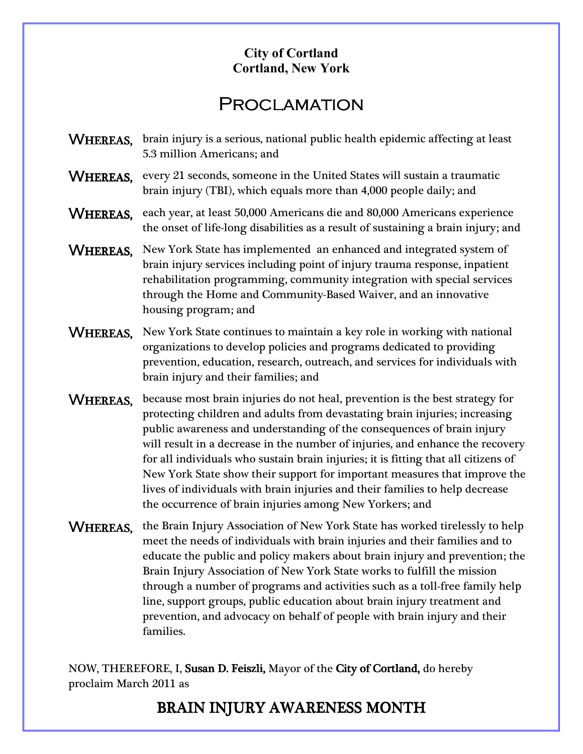## **City of Cortland Cortland, New York**

## **PROCLAMATION**

- WHEREAS, brain injury is a serious, national public health epidemic affecting at least 5.3 million Americans; and
- WHEREAS, every 21 seconds, someone in the United States will sustain a traumatic brain injury (TBI), which equals more than 4,000 people daily; and
- WHEREAS, each year, at least 50,000 Americans die and 80,000 Americans experience the onset of life-long disabilities as a result of sustaining a brain injury; and
- **WHEREAS,** New York State has implemented an enhanced and integrated system of brain injury services including point of injury trauma response, inpatient rehabilitation programming, community integration with special services through the Home and Community-Based Waiver, and an innovative housing program; and
- **WHEREAS.** New York State continues to maintain a key role in working with national organizations to develop policies and programs dedicated to providing prevention, education, research, outreach, and services for individuals with brain injury and their families; and
- WHEREAS, because most brain injuries do not heal, prevention is the best strategy for protecting children and adults from devastating brain injuries; increasing public awareness and understanding of the consequences of brain injury will result in a decrease in the number of injuries, and enhance the recovery for all individuals who sustain brain injuries; it is fitting that all citizens of New York State show their support for important measures that improve the lives of individuals with brain injuries and their families to help decrease the occurrence of brain injuries among New Yorkers; and
- WHEREAS, the Brain Injury Association of New York State has worked tirelessly to help meet the needs of individuals with brain injuries and their families and to educate the public and policy makers about brain injury and prevention; the Brain Injury Association of New York State works to fulfill the mission through a number of programs and activities such as a toll-free family help line, support groups, public education about brain injury treatment and prevention, and advocacy on behalf of people with brain injury and their families.

NOW, THEREFORE, I, Susan D. Feiszli, Mayor of the City of Cortland, do hereby proclaim March 2011 as

## BRAIN INJURY AWARENESS MONTH  $\overline{a}$